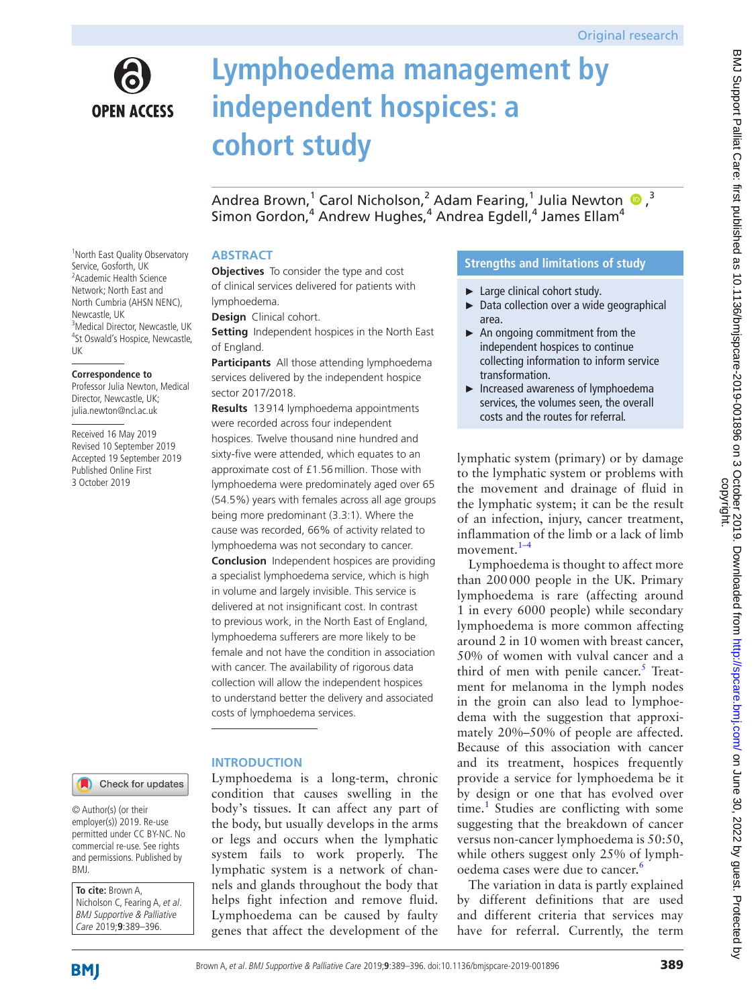

Service, Gosforth, UK

**Correspondence to**

Director, Newcastle, UK; julia.newton@ncl.ac.uk Received 16 May 2019

Published Online First 3 October 2019

Newcastle, UK

UK

# **Lymphoedema management by independent hospices: a cohort study**

AndreaBrown, $^1$  Carol Nicholson, $^2$  Adam Fearing, $^1$  Julia Newton  $\textcolor{blue}{\bullet}$  ,  $^3$ Simon Gordon, $^4$  Andrew Hughes, $^4$  Andrea Egdell, $^4$  James Ellam $^4$ 

## **ABSTRACT**

**Objectives** To consider the type and cost of clinical services delivered for patients with lymphoedema.

**Design** Clinical cohort.

**Setting** Independent hospices in the North East of England.

**Participants** All those attending lymphoedema services delivered by the independent hospice sector 2017/2018.

**Results** 13914 lymphoedema appointments were recorded across four independent hospices. Twelve thousand nine hundred and sixty-five were attended, which equates to an approximate cost of £1.56million. Those with lymphoedema were predominately aged over 65 (54.5%) years with females across all age groups being more predominant (3.3:1). Where the cause was recorded, 66% of activity related to lymphoedema was not secondary to cancer. **Conclusion** Independent hospices are providing a specialist lymphoedema service, which is high in volume and largely invisible. This service is delivered at not insignificant cost. In contrast to previous work, in the North East of England, lymphoedema sufferers are more likely to be female and not have the condition in association with cancer. The availability of rigorous data collection will allow the independent hospices to understand better the delivery and associated costs of lymphoedema services.

# **Introduction**

Lymphoedema is a long-term, chronic condition that causes swelling in the body's tissues. It can affect any part of the body, but usually develops in the arms or legs and occurs when the lymphatic system fails to work properly. The lymphatic system is a network of channels and glands throughout the body that helps fight infection and remove fluid. Lymphoedema can be caused by faulty genes that affect the development of the

# **Strengths and limitations of study**

- ► Large clinical cohort study.
- ► Data collection over a wide geographical area.
- ► An ongoing commitment from the independent hospices to continue collecting information to inform service transformation.
- ► Increased awareness of lymphoedema services, the volumes seen, the overall costs and the routes for referral.

lymphatic system (primary) or by damage to the lymphatic system or problems with the movement and drainage of fluid in the lymphatic system; it can be the result of an infection, injury, cancer treatment, inflammation of the limb or a lack of limb movement.<sup>1-4</sup>

Lymphoedema is thought to affect more than 200000 people in the UK. Primary lymphoedema is rare (affecting around 1 in every 6000 people) while secondary lymphoedema is more common affecting around 2 in 10 women with breast cancer, 50% of women with vulval cancer and a third of men with penile cancer. $5$  Treatment for melanoma in the lymph nodes in the groin can also lead to lymphoedema with the suggestion that approximately 20%–50% of people are affected. Because of this association with cancer and its treatment, hospices frequently provide a service for lymphoedema be it by design or one that has evolved over time.<sup>[1](#page-7-0)</sup> Studies are conflicting with some suggesting that the breakdown of cancer versus non-cancer lymphoedema is 50:50, while others suggest only 25% of lymph-oedema cases were due to cancer.<sup>[6](#page-7-2)</sup>

The variation in data is partly explained by different definitions that are used and different criteria that services may have for referral. Currently, the term

<sup>1</sup> North East Quality Observatory <sup>2</sup> Academic Health Science Network; North East and North Cumbria (AHSN NENC), <sup>3</sup>Medical Director, Newcastle, UK 4 St Oswald's Hospice, Newcastle, Professor Julia Newton, Medical Revised 10 September 2019 Accepted 19 September 2019



© Author(s) (or their employer(s)) 2019. Re-use permitted under CC BY-NC. No commercial re-use. See rights and permissions. Published by BMJ.

**To cite:** Brown A, Nicholson C, Fearing A, et al. BMJ Supportive & Palliative Care 2019;**9**:389–396.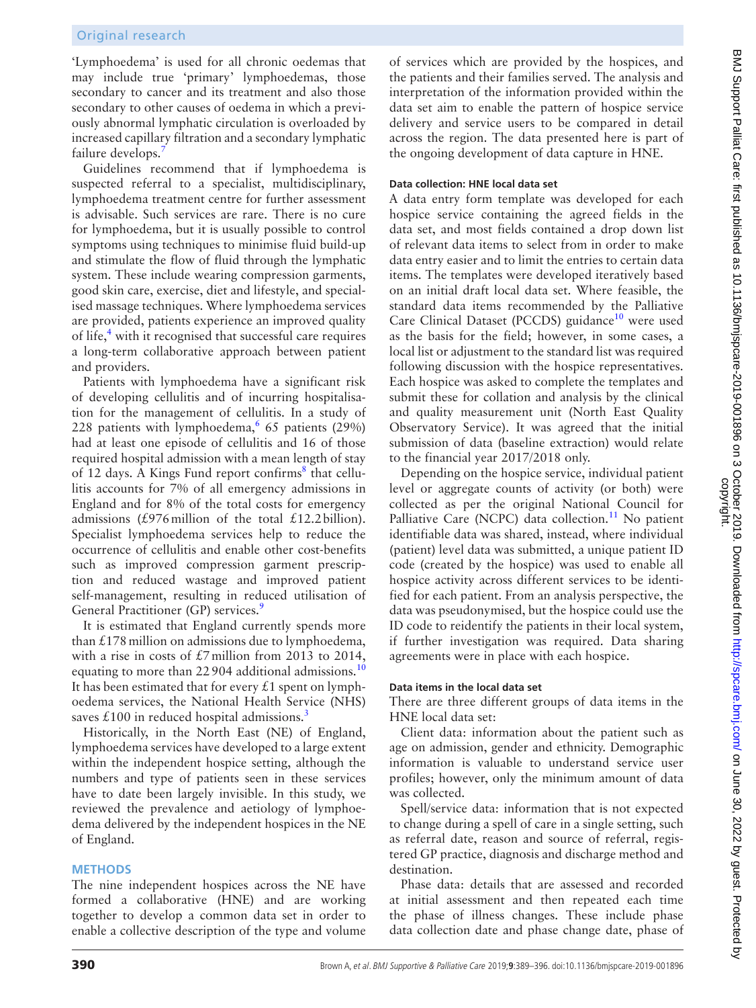'Lymphoedema' is used for all chronic oedemas that may include true 'primary' lymphoedemas, those secondary to cancer and its treatment and also those secondary to other causes of oedema in which a previously abnormal lymphatic circulation is overloaded by increased capillary filtration and a secondary lymphatic failure develops.

Guidelines recommend that if lymphoedema is suspected referral to a specialist, multidisciplinary, lymphoedema treatment centre for further assessment is advisable. Such services are rare. There is no cure for lymphoedema, but it is usually possible to control symptoms using techniques to minimise fluid build-up and stimulate the flow of fluid through the lymphatic system. These include wearing compression garments, good skin care, exercise, diet and lifestyle, and specialised massage techniques. Where lymphoedema services are provided, patients experience an improved quality of life,<sup>4</sup> with it recognised that successful care requires a long-term collaborative approach between patient and providers.

Patients with lymphoedema have a significant risk of developing cellulitis and of incurring hospitalisation for the management of cellulitis. In a study of 228 patients with lymphoedema,  $65$  patients (29%) had at least one episode of cellulitis and 16 of those required hospital admission with a mean length of stay of 12 days. A Kings Fund report confirms<sup>[8](#page-7-5)</sup> that cellulitis accounts for 7% of all emergency admissions in England and for 8% of the total costs for emergency admissions (£976 million of the total £12.2 billion). Specialist lymphoedema services help to reduce the occurrence of cellulitis and enable other cost-benefits such as improved compression garment prescription and reduced wastage and improved patient self-management, resulting in reduced utilisation of General Practitioner (GP) services.<sup>9</sup>

It is estimated that England currently spends more than  $£178$  million on admissions due to lymphoedema, with a rise in costs of £7million from 2013 to 2014, equating to more than 22904 additional admissions.<sup>[10](#page-7-7)</sup> It has been estimated that for every  $£1$  spent on lymphoedema services, the National Health Service (NHS) saves  $£100$  in reduced hospital admissions.<sup>[3](#page-7-8)</sup>

Historically, in the North East (NE) of England, lymphoedema services have developed to a large extent within the independent hospice setting, although the numbers and type of patients seen in these services have to date been largely invisible. In this study, we reviewed the prevalence and aetiology of lymphoedema delivered by the independent hospices in the NE of England.

#### **Methods**

The nine independent hospices across the NE have formed a collaborative (HNE) and are working together to develop a common data set in order to enable a collective description of the type and volume

of services which are provided by the hospices, and the patients and their families served. The analysis and interpretation of the information provided within the data set aim to enable the pattern of hospice service delivery and service users to be compared in detail across the region. The data presented here is part of the ongoing development of data capture in HNE.

## **Data collection: HNE local data set**

A data entry form template was developed for each hospice service containing the agreed fields in the data set, and most fields contained a drop down list of relevant data items to select from in order to make data entry easier and to limit the entries to certain data items. The templates were developed iteratively based on an initial draft local data set. Where feasible, the standard data items recommended by the Palliative Care Clinical Dataset (PCCDS) guidance<sup>10</sup> were used as the basis for the field; however, in some cases, a local list or adjustment to the standard list was required following discussion with the hospice representatives. Each hospice was asked to complete the templates and submit these for collation and analysis by the clinical and quality measurement unit (North East Quality Observatory Service). It was agreed that the initial submission of data (baseline extraction) would relate to the financial year 2017/2018 only.

Depending on the hospice service, individual patient level or aggregate counts of activity (or both) were collected as per the original National Council for Palliative Care (NCPC) data collection.<sup>[11](#page-7-9)</sup> No patient identifiable data was shared, instead, where individual (patient) level data was submitted, a unique patient ID code (created by the hospice) was used to enable all hospice activity across different services to be identified for each patient. From an analysis perspective, the data was pseudonymised, but the hospice could use the ID code to reidentify the patients in their local system, if further investigation was required. Data sharing agreements were in place with each hospice.

#### **Data items in the local data set**

There are three different groups of data items in the HNE local data set:

Client data: information about the patient such as age on admission, gender and ethnicity. Demographic information is valuable to understand service user profiles; however, only the minimum amount of data was collected.

Spell/service data: information that is not expected to change during a spell of care in a single setting, such as referral date, reason and source of referral, registered GP practice, diagnosis and discharge method and destination.

Phase data: details that are assessed and recorded at initial assessment and then repeated each time the phase of illness changes. These include phase data collection date and phase change date, phase of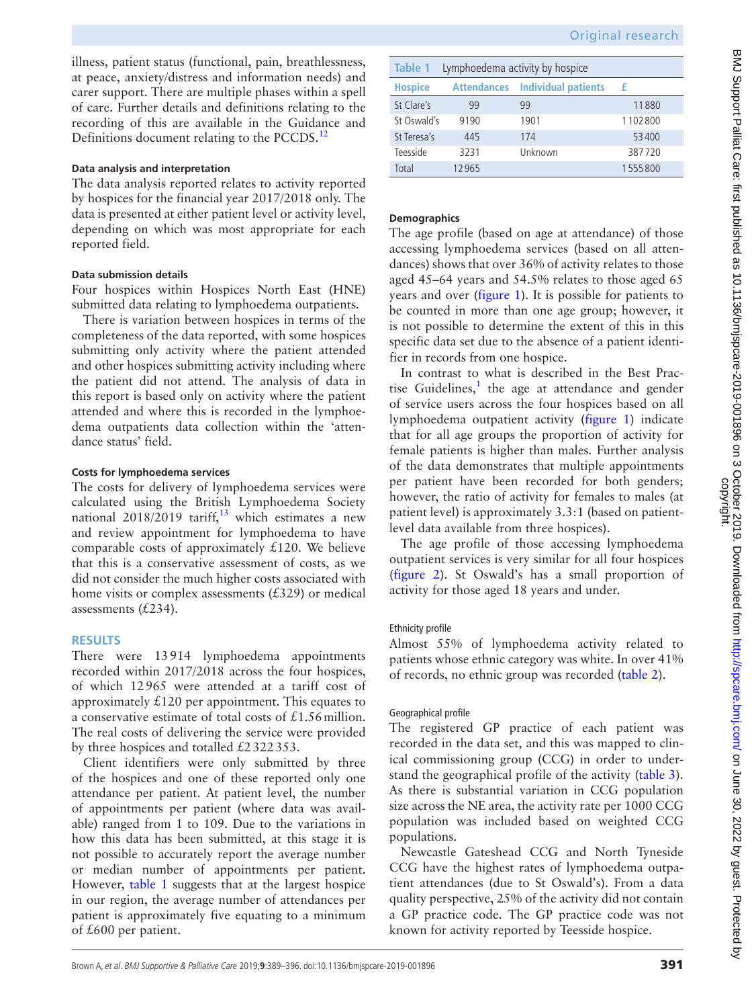illness, patient status (functional, pain, breathlessness, at peace, anxiety/distress and information needs) and carer support. There are multiple phases within a spell of care. Further details and definitions relating to the recording of this are available in the Guidance and Definitions document relating to the PCCDS.<sup>[12](#page-7-10)</sup>

## **Data analysis and interpretation**

The data analysis reported relates to activity reported by hospices for the financial year 2017/2018 only. The data is presented at either patient level or activity level, depending on which was most appropriate for each reported field.

## **Data submission details**

Four hospices within Hospices North East (HNE) submitted data relating to lymphoedema outpatients.

There is variation between hospices in terms of the completeness of the data reported, with some hospices submitting only activity where the patient attended and other hospices submitting activity including where the patient did not attend. The analysis of data in this report is based only on activity where the patient attended and where this is recorded in the lymphoedema outpatients data collection within the 'attendance status' field.

## **Costs for lymphoedema services**

The costs for delivery of lymphoedema services were calculated using the British Lymphoedema Society national 2018/2019 tariff,<sup>[13](#page-7-11)</sup> which estimates a new and review appointment for lymphoedema to have comparable costs of approximately  $£120$ . We believe that this is a conservative assessment of costs, as we did not consider the much higher costs associated with home visits or complex assessments  $(£329)$  or medical assessments (£234).

# **Results**

There were 13914 lymphoedema appointments recorded within 2017/2018 across the four hospices, of which 12965 were attended at a tariff cost of approximately  $\angle 120$  per appointment. This equates to a conservative estimate of total costs of £1.56million. The real costs of delivering the service were provided by three hospices and totalled £2322353.

Client identifiers were only submitted by three of the hospices and one of these reported only one attendance per patient. At patient level, the number of appointments per patient (where data was available) ranged from 1 to 109. Due to the variations in how this data has been submitted, at this stage it is not possible to accurately report the average number or median number of appointments per patient. However, [table](#page-2-0) 1 suggests that at the largest hospice in our region, the average number of attendances per patient is approximately five equating to a minimum of £600 per patient.

<span id="page-2-0"></span>

| Lymphoedema activity by hospice<br>Table 1 |       |                                        |         |
|--------------------------------------------|-------|----------------------------------------|---------|
| <b>Hospice</b>                             |       | <b>Attendances</b> Individual patients | -£      |
| St Clare's                                 | 99    | 99                                     | 11880   |
| St Oswald's                                | 9190  | 1901                                   | 1102800 |
| St Teresa's                                | 445   | 174                                    | 53400   |
| Teesside                                   | 3231  | Unknown                                | 387720  |
| Total                                      | 12965 |                                        | 1555800 |

# **Demographics**

The age profile (based on age at attendance) of those accessing lymphoedema services (based on all attendances) shows that over 36% of activity relates to those aged 45–64 years and 54.5% relates to those aged 65 years and over ([figure](#page-3-0) 1). It is possible for patients to be counted in more than one age group; however, it is not possible to determine the extent of this in this specific data set due to the absence of a patient identifier in records from one hospice.

In contrast to what is described in the Best Practise Guidelines, $<sup>1</sup>$  the age at attendance and gender</sup> of service users across the four hospices based on all lymphoedema outpatient activity ([figure](#page-3-0) 1) indicate that for all age groups the proportion of activity for female patients is higher than males. Further analysis of the data demonstrates that multiple appointments per patient have been recorded for both genders; however, the ratio of activity for females to males (at patient level) is approximately 3.3:1 (based on patientlevel data available from three hospices).

The age profile of those accessing lymphoedema outpatient services is very similar for all four hospices [\(figure](#page-3-1) 2). St Oswald's has a small proportion of activity for those aged 18 years and under.

# Ethnicity profile

Almost 55% of lymphoedema activity related to patients whose ethnic category was white. In over 41% of records, no ethnic group was recorded ([table](#page-3-2) 2).

## Geographical profile

The registered GP practice of each patient was recorded in the data set, and this was mapped to clinical commissioning group (CCG) in order to understand the geographical profile of the activity ([table](#page-3-3) 3). As there is substantial variation in CCG population size across the NE area, the activity rate per 1000 CCG population was included based on weighted CCG populations.

Newcastle Gateshead CCG and North Tyneside CCG have the highest rates of lymphoedema outpatient attendances (due to St Oswald's). From a data quality perspective, 25% of the activity did not contain a GP practice code. The GP practice code was not known for activity reported by Teesside hospice.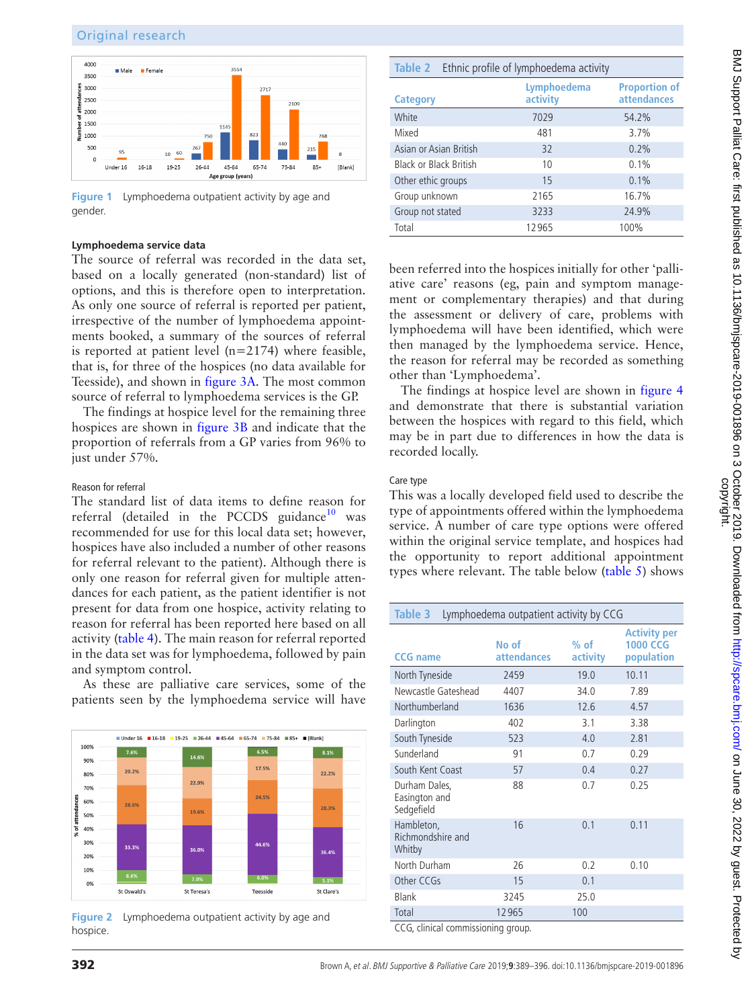

<span id="page-3-0"></span>**Figure 1** Lymphoedema outpatient activity by age and gender.

## **Lymphoedema service data**

The source of referral was recorded in the data set, based on a locally generated (non-standard) list of options, and this is therefore open to interpretation. As only one source of referral is reported per patient, irrespective of the number of lymphoedema appointments booked, a summary of the sources of referral is reported at patient level  $(n=2174)$  where feasible, that is, for three of the hospices (no data available for Teesside), and shown in [figure](#page-4-0) 3A. The most common source of referral to lymphoedema services is the GP.

The findings at hospice level for the remaining three hospices are shown in [figure](#page-4-0) 3B and indicate that the proportion of referrals from a GP varies from 96% to just under 57%.

#### Reason for referral

The standard list of data items to define reason for referral (detailed in the PCCDS guidance $10$  was recommended for use for this local data set; however, hospices have also included a number of other reasons for referral relevant to the patient). Although there is only one reason for referral given for multiple attendances for each patient, as the patient identifier is not present for data from one hospice, activity relating to reason for referral has been reported here based on all activity [\(table](#page-4-1) 4). The main reason for referral reported in the data set was for lymphoedema, followed by pain and symptom control.

As these are palliative care services, some of the patients seen by the lymphoedema service will have



<span id="page-3-1"></span>**Figure 2** Lymphoedema outpatient activity by age and hospice.

<span id="page-3-2"></span>

| Ethnic profile of lymphoedema activity<br>Table 2 |                         |                                            |  |
|---------------------------------------------------|-------------------------|--------------------------------------------|--|
| <b>Category</b>                                   | Lymphoedema<br>activity | <b>Proportion of</b><br><b>attendances</b> |  |
| White                                             | 7029                    | 54.2%                                      |  |
| Mixed                                             | 481                     | 3.7%                                       |  |
| Asian or Asian British                            | 32                      | 0.2%                                       |  |
| Black or Black British                            | 10                      | 0.1%                                       |  |
| Other ethic groups                                | 15                      | 0.1%                                       |  |
| Group unknown                                     | 2165                    | 16.7%                                      |  |
| Group not stated                                  | 3233                    | 24.9%                                      |  |
| Total                                             | 12965                   | 100%                                       |  |

been referred into the hospices initially for other 'palliative care' reasons (eg, pain and symptom management or complementary therapies) and that during the assessment or delivery of care, problems with lymphoedema will have been identified, which were then managed by the lymphoedema service. Hence, the reason for referral may be recorded as something other than 'Lymphoedema'.

The findings at hospice level are shown in [figure](#page-5-0) 4 and demonstrate that there is substantial variation between the hospices with regard to this field, which may be in part due to differences in how the data is recorded locally.

## Care type

This was a locally developed field used to describe the type of appointments offered within the lymphoedema service. A number of care type options were offered within the original service template, and hospices had the opportunity to report additional appointment types where relevant. The table below [\(table](#page-5-1) 5) shows

<span id="page-3-3"></span>

| Table 3<br>Lymphoedema outpatient activity by CCG |                             |                    |                                                      |
|---------------------------------------------------|-----------------------------|--------------------|------------------------------------------------------|
| <b>CCG</b> name                                   | No of<br><b>attendances</b> | $%$ of<br>activity | <b>Activity per</b><br><b>1000 CCG</b><br>population |
| North Tyneside                                    | 2459                        | 19.0               | 10.11                                                |
| Newcastle Gateshead                               | 4407                        | 34.0               | 7.89                                                 |
| Northumberland                                    | 1636                        | 12.6               | 4.57                                                 |
| Darlington                                        | 402                         | 3.1                | 3.38                                                 |
| South Tyneside                                    | 523                         | 4.0                | 2.81                                                 |
| Sunderland                                        | 91                          | 0.7                | 0.29                                                 |
| South Kent Coast                                  | 57                          | 0.4                | 0.27                                                 |
| Durham Dales,<br>Easington and<br>Sedgefield      | 88                          | 0.7                | 0.25                                                 |
| Hambleton,<br>Richmondshire and<br>Whitby         | 16                          | 0.1                | 0.11                                                 |
| North Durham                                      | 26                          | 0.2                | 0.10                                                 |
| Other CCGs                                        | 15                          | 0.1                |                                                      |
| <b>Blank</b>                                      | 3245                        | 25.0               |                                                      |
| Total                                             | 12965                       | 100                |                                                      |
| CCG, clinical commissioning group.                |                             |                    |                                                      |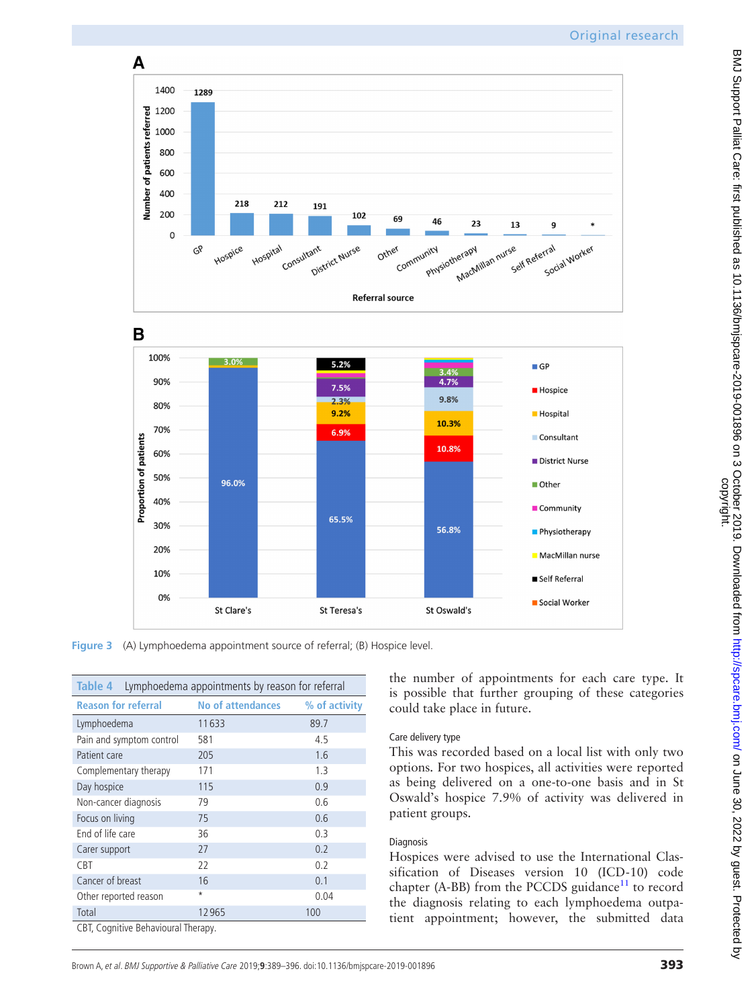

**Figure 3** (A) Lymphoedema appointment source of referral; (B) Hospice level.

St Teresa's

<span id="page-4-0"></span>St Clare's

10%

0%

<span id="page-4-1"></span>

| Lymphoedema appointments by reason for referral<br>Table 4 |                          |               |  |
|------------------------------------------------------------|--------------------------|---------------|--|
| <b>Reason for referral</b>                                 | <b>No of attendances</b> | % of activity |  |
| Lymphoedema                                                | 11633                    | 89.7          |  |
| Pain and symptom control                                   | 581                      | 4.5           |  |
| Patient care                                               | 205                      | 1.6           |  |
| Complementary therapy                                      | 171                      | 1.3           |  |
| Day hospice                                                | 115                      | 0.9           |  |
| Non-cancer diagnosis                                       | 79                       | 0.6           |  |
| Focus on living                                            | 75                       | 0.6           |  |
| End of life care                                           | 36                       | 0.3           |  |
| Carer support                                              | 27                       | 0.2           |  |
| <b>CBT</b>                                                 | 22                       | 0.2           |  |
| Cancer of breast                                           | 16                       | 0.1           |  |
| Other reported reason                                      | $\star$                  | 0.04          |  |
| Total                                                      | 12965                    | 100           |  |
| CBT, Cognitive Behavioural Therapy.                        |                          |               |  |

BMJ Support Palliat Care: first published as 10.1136/bmjspcare-2019-001896 on 3 October 2019. Downloaded from trip://spcare.bmj.com/ on June 30, 2022 by guest. Protected by

is possible that further grouping of these categories

■ Self Referral

Social Worker

This was recorded based on a local list with only two options. For two hospices, all activities were reported as being delivered on a one-to-one basis and in St Oswald's hospice 7.9% of activity was delivered in

Hospices were advised to use the International Classification of Diseases version 10 (ICD-10) code chapter (A-BB) from the PCCDS guidance<sup>11</sup> to record the diagnosis relating to each lymphoedema outpatient appointment; however, the submitted data

could take place in future.

St Oswald's

Care delivery type

patient groups.

Diagnosis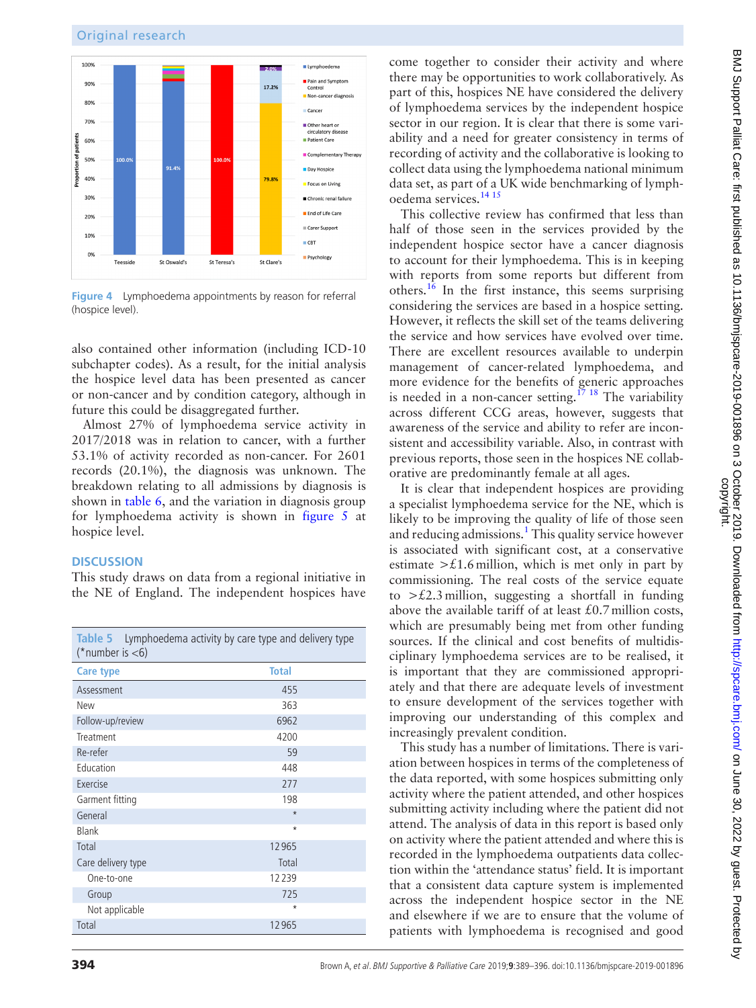![](_page_5_Figure_2.jpeg)

<span id="page-5-0"></span>**Figure 4** Lymphoedema appointments by reason for referral (hospice level).

also contained other information (including ICD-10 subchapter codes). As a result, for the initial analysis the hospice level data has been presented as cancer or non-cancer and by condition category, although in future this could be disaggregated further.

Almost 27% of lymphoedema service activity in 2017/2018 was in relation to cancer, with a further 53.1% of activity recorded as non-cancer. For 2601 records (20.1%), the diagnosis was unknown. The breakdown relating to all admissions by diagnosis is shown in [table](#page-6-0) 6, and the variation in diagnosis group for lymphoedema activity is shown in [figure](#page-6-1) 5 at hospice level.

#### **Discussion**

This study draws on data from a regional initiative in the NE of England. The independent hospices have

<span id="page-5-1"></span>

| Table 5 Lymphoedema activity by care type and delivery type<br>(*number is $<$ 6) |              |  |  |
|-----------------------------------------------------------------------------------|--------------|--|--|
| <b>Care type</b>                                                                  | <b>Total</b> |  |  |
| Assessment                                                                        | 455          |  |  |
| New                                                                               | 363          |  |  |
| Follow-up/review                                                                  | 6962         |  |  |
| Treatment                                                                         | 4200         |  |  |
| Re-refer                                                                          | 59           |  |  |
| Education                                                                         | 448          |  |  |
| Exercise                                                                          | 277          |  |  |
| Garment fitting                                                                   | 198          |  |  |
| General                                                                           | $\star$      |  |  |
| Blank                                                                             | $\star$      |  |  |
| Total                                                                             | 12965        |  |  |
| Care delivery type                                                                | Total        |  |  |
| One-to-one                                                                        | 12239        |  |  |
| Group                                                                             | 725          |  |  |
| Not applicable                                                                    | $\star$      |  |  |
| Total                                                                             | 12965        |  |  |

come together to consider their activity and where there may be opportunities to work collaboratively. As part of this, hospices NE have considered the delivery of lymphoedema services by the independent hospice sector in our region. It is clear that there is some variability and a need for greater consistency in terms of recording of activity and the collaborative is looking to collect data using the lymphoedema national minimum data set, as part of a UK wide benchmarking of lymphoedema services[.14 15](#page-7-12)

This collective review has confirmed that less than half of those seen in the services provided by the independent hospice sector have a cancer diagnosis to account for their lymphoedema. This is in keeping with reports from some reports but different from others.<sup>16</sup> In the first instance, this seems surprising considering the services are based in a hospice setting. However, it reflects the skill set of the teams delivering the service and how services have evolved over time. There are excellent resources available to underpin management of cancer-related lymphoedema, and more evidence for the benefits of generic approaches is needed in a non-cancer setting.<sup>17 18</sup> The variability across different CCG areas, however, suggests that awareness of the service and ability to refer are inconsistent and accessibility variable. Also, in contrast with previous reports, those seen in the hospices NE collaborative are predominantly female at all ages.

It is clear that independent hospices are providing a specialist lymphoedema service for the NE, which is likely to be improving the quality of life of those seen and reducing admissions.<sup>[1](#page-7-0)</sup> This quality service however is associated with significant cost, at a conservative estimate  $\geq \text{\pounds}1.6$  million, which is met only in part by commissioning. The real costs of the service equate to  $\geq \pounds 2.3$  million, suggesting a shortfall in funding above the available tariff of at least  $£0.7$  million costs, which are presumably being met from other funding sources. If the clinical and cost benefits of multidisciplinary lymphoedema services are to be realised, it is important that they are commissioned appropriately and that there are adequate levels of investment to ensure development of the services together with improving our understanding of this complex and increasingly prevalent condition.

This study has a number of limitations. There is variation between hospices in terms of the completeness of the data reported, with some hospices submitting only activity where the patient attended, and other hospices submitting activity including where the patient did not attend. The analysis of data in this report is based only on activity where the patient attended and where this is recorded in the lymphoedema outpatients data collection within the 'attendance status' field. It is important that a consistent data capture system is implemented across the independent hospice sector in the NE and elsewhere if we are to ensure that the volume of patients with lymphoedema is recognised and good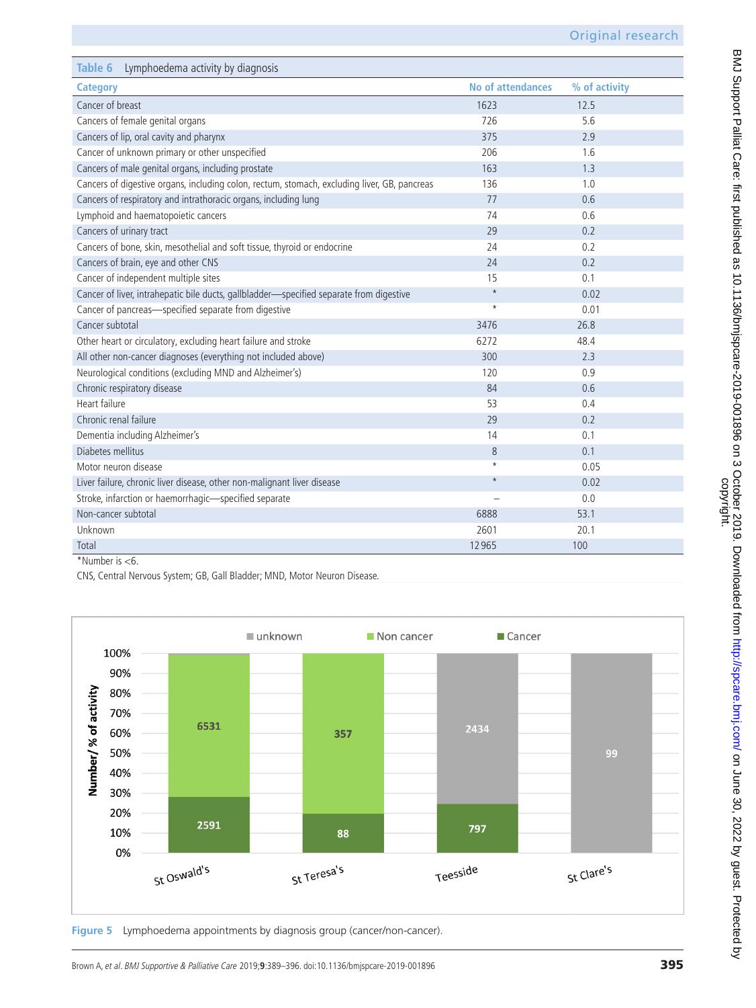<span id="page-6-0"></span>

| Lymphoedema activity by diagnosis<br>Table 6                                                 |                          |               |
|----------------------------------------------------------------------------------------------|--------------------------|---------------|
| <b>Category</b>                                                                              | <b>No of attendances</b> | % of activity |
| Cancer of breast                                                                             | 1623                     | 12.5          |
| Cancers of female genital organs                                                             | 726                      | 5.6           |
| Cancers of lip, oral cavity and pharynx                                                      | 375                      | 2.9           |
| Cancer of unknown primary or other unspecified                                               | 206                      | 1.6           |
| Cancers of male genital organs, including prostate                                           | 163                      | 1.3           |
| Cancers of digestive organs, including colon, rectum, stomach, excluding liver, GB, pancreas | 136                      | 1.0           |
| Cancers of respiratory and intrathoracic organs, including lung                              | 77                       | 0.6           |
| Lymphoid and haematopoietic cancers                                                          | 74                       | 0.6           |
| Cancers of urinary tract                                                                     | 29                       | 0.2           |
| Cancers of bone, skin, mesothelial and soft tissue, thyroid or endocrine                     | 24                       | 0.2           |
| Cancers of brain, eye and other CNS                                                          | 24                       | 0.2           |
| Cancer of independent multiple sites                                                         | 15                       | 0.1           |
| Cancer of liver, intrahepatic bile ducts, gallbladder-specified separate from digestive      | $\star$                  | 0.02          |
| Cancer of pancreas-specified separate from digestive                                         | $^\star$                 | 0.01          |
| Cancer subtotal                                                                              | 3476                     | 26.8          |
| Other heart or circulatory, excluding heart failure and stroke                               | 6272                     | 48.4          |
| All other non-cancer diagnoses (everything not included above)                               | 300                      | 2.3           |
| Neurological conditions (excluding MND and Alzheimer's)                                      | 120                      | 0.9           |
| Chronic respiratory disease                                                                  | 84                       | 0.6           |
| Heart failure                                                                                | 53                       | 0.4           |
| Chronic renal failure                                                                        | 29                       | 0.2           |
| Dementia including Alzheimer's                                                               | 14                       | 0.1           |
| Diabetes mellitus                                                                            | 8                        | 0.1           |
| Motor neuron disease                                                                         | $\star$                  | 0.05          |
| Liver failure, chronic liver disease, other non-malignant liver disease                      | $\star$                  | 0.02          |
| Stroke, infarction or haemorrhagic-specified separate                                        |                          | 0.0           |
| Non-cancer subtotal                                                                          | 6888                     | 53.1          |
| Unknown                                                                                      | 2601                     | 20.1          |
| Total<br>$*$ Nlumbor $C$                                                                     | 12965                    | 100           |

\*Number is <6.

CNS, Central Nervous System; GB, Gall Bladder; MND, Motor Neuron Disease.

![](_page_6_Figure_5.jpeg)

<span id="page-6-1"></span>Figure 5 Lymphoedema appointments by diagnosis group (cancer/non-cancer).